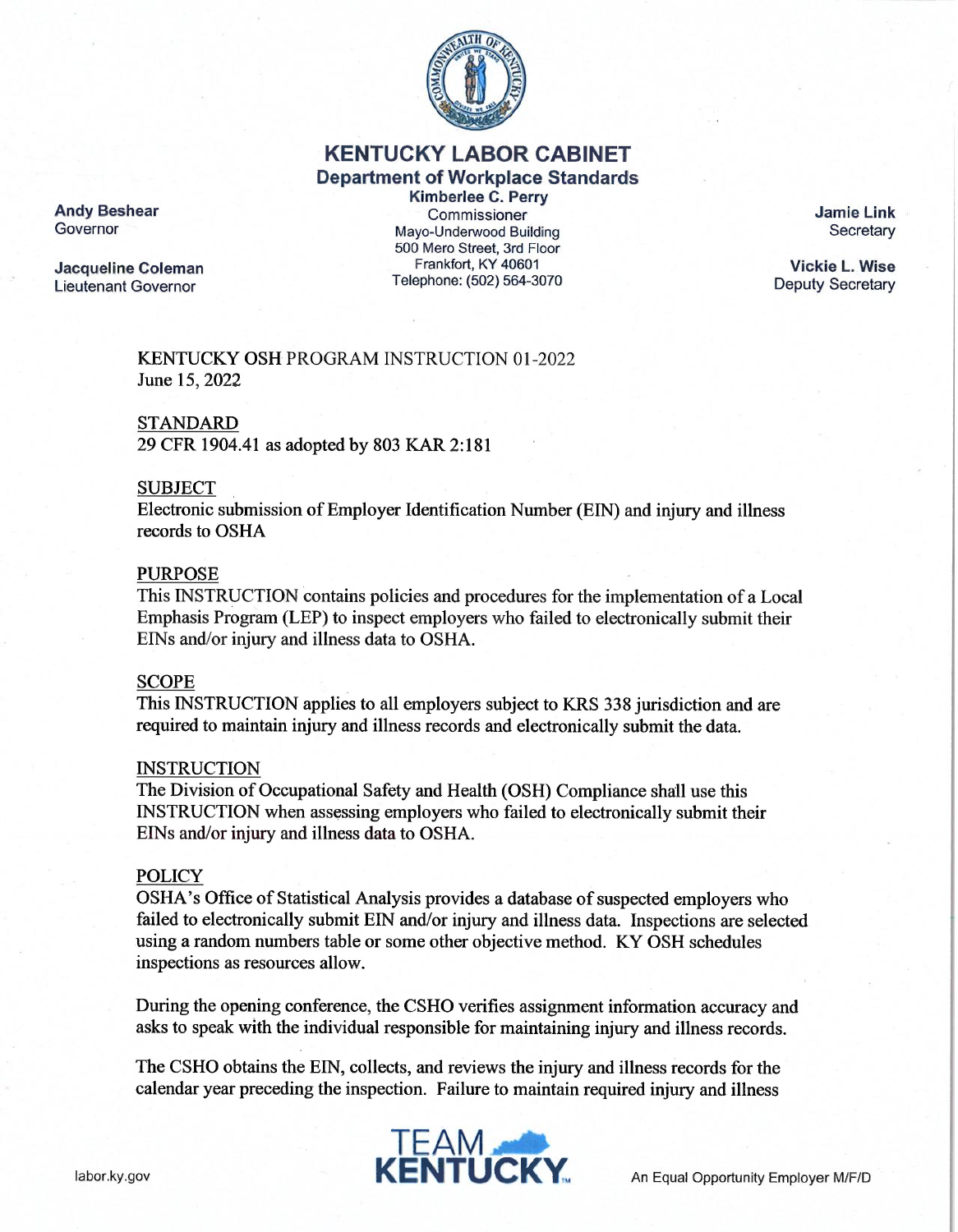

# KENTUCKY LABOR CABINET

# Department of Workplace Standards

Andy Beshear<br>Governor

Lieutenant Governor

Kimberlee C. Perry<br>Commissioner Mayo-Underwood Building 500 Mero Street, 3rd Floor Jacqueline Coleman Frankfort, KY 40601<br>Lieutenant Governor Frankfort, KY 40601

Jamie Link **Secretary** 

Vickie L. Wise Deputy Secretary

KENTUCKY OSH PROGRAM INSTRUCTION 01-2022 June 15, 2022

# STANDARD

29 CFR 1904.41 as adopted by 803 KAR 2:181

# **SUBJECT**

Electronic submission of Employer Identification Number (EIN) and injury and illness records to OSHA

## PURPOSE

This INSTRUCTION contains policies and procedures for the implementation of a Local Emphasis Program (LEP) to inspect employers who failed to electronically submit their EINs and/or injury and illness data to OSHA.

## SCOPE

This INSTRUCTION applies to all employers subject to KRS 338 jurisdiction and are required to maintain injury and illness records and electronically submit the data.

## INSTRUCTION

The Division of Occupational Safety and Health (OSH) Compliance shall use this INSTRUCTION when assessing employers who failed to electronically submit their EINs and/or injury and illness data to OSHA.

## POLICY

OSHA's Office of Statistical Analysis provides a database of suspected employers who failed to electronically submit EIN and/or injury and illness data. Inspections are selected using a random numbers table or some other objective method. KY OSH schedules inspections as resources allow.

During the opening conference, the CSHO verifies assignment information accuracy and asks to speak with the individual responsible for maintaining injury and illness records.

The CSHO obtains the EIN, collects, and reviews the injury and illness records for the calendar year preceding the inspection. Failure to maintain required injury and illness